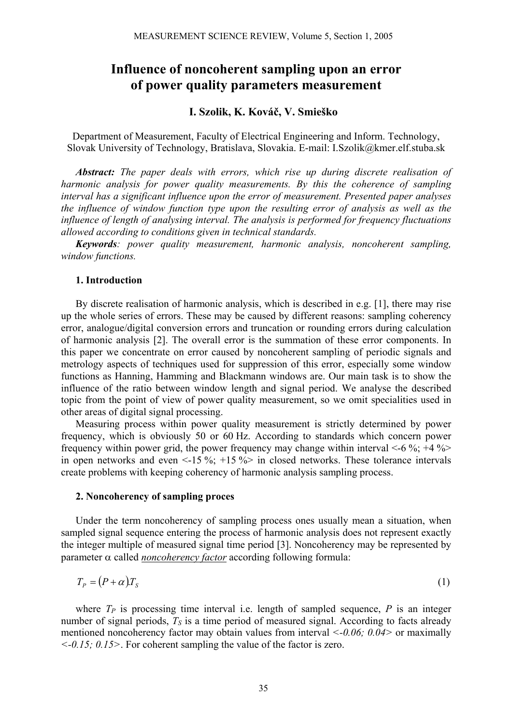# **Influence of noncoherent sampling upon an error of power quality parameters measurement**

# **I. Szolik, K. Kováč, V. Smieško**

Department of Measurement, Faculty of Electrical Engineering and Inform. Technology, Slovak University of Technology, Bratislava, Slovakia. E-mail: I.Szolik@kmer.elf.stuba.sk

*Abstract: The paper deals with errors, which rise up during discrete realisation of harmonic analysis for power quality measurements. By this the coherence of sampling interval has a significant influence upon the error of measurement. Presented paper analyses the influence of window function type upon the resulting error of analysis as well as the influence of length of analysing interval. The analysis is performed for frequency fluctuations allowed according to conditions given in technical standards.* 

*Keywords: power quality measurement, harmonic analysis, noncoherent sampling, window functions.* 

# **1. Introduction**

By discrete realisation of harmonic analysis, which is described in e.g. [1], there may rise up the whole series of errors. These may be caused by different reasons: sampling coherency error, analogue/digital conversion errors and truncation or rounding errors during calculation of harmonic analysis [2]. The overall error is the summation of these error components. In this paper we concentrate on error caused by noncoherent sampling of periodic signals and metrology aspects of techniques used for suppression of this error, especially some window functions as Hanning, Hamming and Blackmann windows are. Our main task is to show the influence of the ratio between window length and signal period. We analyse the described topic from the point of view of power quality measurement, so we omit specialities used in other areas of digital signal processing.

Measuring process within power quality measurement is strictly determined by power frequency, which is obviously 50 or 60 Hz. According to standards which concern power frequency within power grid, the power frequency may change within interval  $\leq$ -6 %; +4 % in open networks and even  $\leq 15\%$ ;  $+15\%$  in closed networks. These tolerance intervals create problems with keeping coherency of harmonic analysis sampling process.

# **2. Noncoherency of sampling proces**

Under the term noncoherency of sampling process ones usually mean a situation, when sampled signal sequence entering the process of harmonic analysis does not represent exactly the integer multiple of measured signal time period [3]. Noncoherency may be represented by parameter α called *noncoherency factor* according following formula:

$$
T_P = (P + \alpha)T_S \tag{1}
$$

where  $T_P$  is processing time interval i.e. length of sampled sequence,  $P$  is an integer number of signal periods,  $T<sub>S</sub>$  is a time period of measured signal. According to facts already mentioned noncoherency factor may obtain values from interval *<-0.06; 0.04>* or maximally *<-0.15; 0.15>*. For coherent sampling the value of the factor is zero.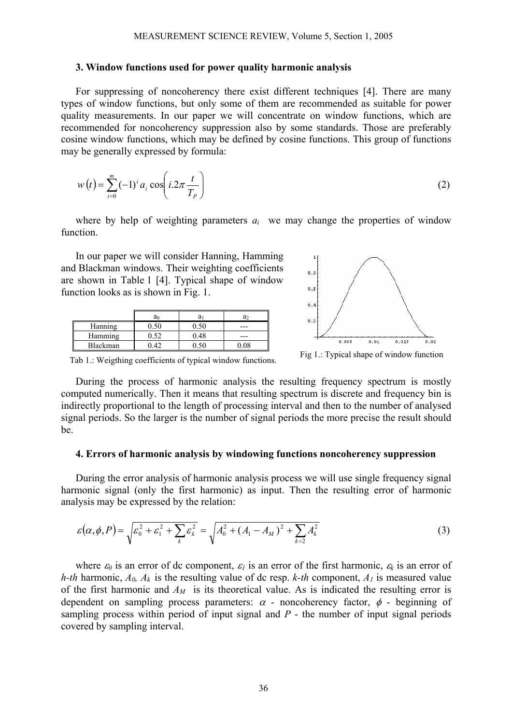#### **3. Window functions used for power quality harmonic analysis**

For suppressing of noncoherency there exist different techniques [4]. There are many types of window functions, but only some of them are recommended as suitable for power quality measurements. In our paper we will concentrate on window functions, which are recommended for noncoherency suppression also by some standards. Those are preferably cosine window functions, which may be defined by cosine functions. This group of functions may be generally expressed by formula:

$$
w(t) = \sum_{i=0}^{m} (-1)^{i} a_{i} \cos\left(i \cdot 2\pi \frac{t}{T_{P}}\right)
$$
 (2)

where by help of weighting parameters  $a_i$  we may change the properties of window function.

In our paper we will consider Hanning, Hamming and Blackman windows. Their weighting coefficients are shown in Table 1 [4]. Typical shape of window function looks as is shown in Fig. 1.

|          | a | a    | a   |
|----------|---|------|-----|
| Hanning  |   |      | --- |
| Hamming  |   | ).48 | --- |
| Blackman |   |      |     |



Fig 1.: Typical shape of window function

Tab 1.: Weigthing coefficients of typical window functions.

During the process of harmonic analysis the resulting frequency spectrum is mostly computed numerically. Then it means that resulting spectrum is discrete and frequency bin is indirectly proportional to the length of processing interval and then to the number of analysed signal periods. So the larger is the number of signal periods the more precise the result should be.

#### **4. Errors of harmonic analysis by windowing functions noncoherency suppression**

During the error analysis of harmonic analysis process we will use single frequency signal harmonic signal (only the first harmonic) as input. Then the resulting error of harmonic analysis may be expressed by the relation:

$$
\varepsilon(\alpha,\phi,P) = \sqrt{\varepsilon_0^2 + \varepsilon_1^2 + \sum_k \varepsilon_k^2} = \sqrt{A_0^2 + (A_1 - A_M)^2 + \sum_{k=2} A_k^2}
$$
 (3)

where  $\varepsilon_0$  is an error of dc component,  $\varepsilon_1$  is an error of the first harmonic,  $\varepsilon_k$  is an error of *h-th* harmonic,  $A_0$ ,  $A_k$  is the resulting value of dc resp. *k-th* component,  $A_l$  is measured value of the first harmonic and  $A_M$  is its theoretical value. As is indicated the resulting error is dependent on sampling process parameters:  $\alpha$  - noncoherency factor,  $\phi$  - beginning of sampling process within period of input signal and *P* - the number of input signal periods covered by sampling interval.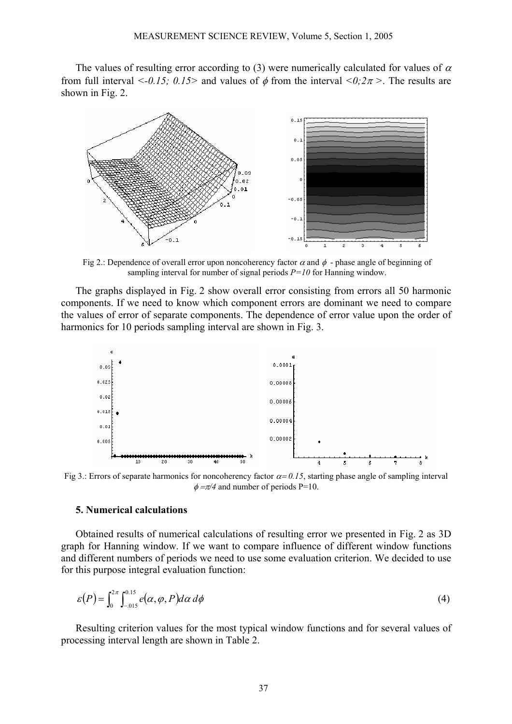The values of resulting error according to (3) were numerically calculated for values of  $\alpha$ from full interval  $\leq -0.15$ ;  $0.15$  and values of  $\phi$  from the interval  $\leq 0.2\pi$  >. The results are shown in Fig. 2.



Fig 2.: Dependence of overall error upon noncoherency factor  $\alpha$  and  $\phi$  - phase angle of beginning of sampling interval for number of signal periods *P=10* for Hanning window.

The graphs displayed in Fig. 2 show overall error consisting from errors all 50 harmonic components. If we need to know which component errors are dominant we need to compare the values of error of separate components. The dependence of error value upon the order of harmonics for 10 periods sampling interval are shown in Fig. 3.



Fig 3.: Errors of separate harmonics for noncoherency factor  $\alpha = 0.15$ , starting phase angle of sampling interval  $\phi = \pi/4$  and number of periods P=10.

#### **5. Numerical calculations**

Obtained results of numerical calculations of resulting error we presented in Fig. 2 as 3D graph for Hanning window. If we want to compare influence of different window functions and different numbers of periods we need to use some evaluation criterion. We decided to use for this purpose integral evaluation function:

$$
\varepsilon(P) = \int_0^{2\pi} \int_{-0.15}^{0.15} e(\alpha, \varphi, P) d\alpha \, d\varphi \tag{4}
$$

Resulting criterion values for the most typical window functions and for several values of processing interval length are shown in Table 2.